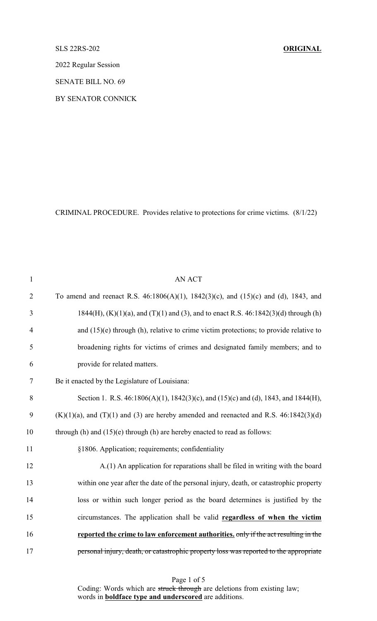## SLS 22RS-202 **ORIGINAL**

2022 Regular Session

SENATE BILL NO. 69

BY SENATOR CONNICK

CRIMINAL PROCEDURE. Provides relative to protections for crime victims. (8/1/22)

| $\mathbf{1}$   | <b>AN ACT</b>                                                                                   |
|----------------|-------------------------------------------------------------------------------------------------|
| $\overline{2}$ | To amend and reenact R.S. $46:1806(A)(1)$ , $1842(3)(c)$ , and $(15)(c)$ and $(d)$ , 1843, and  |
| $\mathfrak{Z}$ | $1844(H)$ , (K)(1)(a), and (T)(1) and (3), and to enact R.S. 46:1842(3)(d) through (h)          |
| 4              | and $(15)(e)$ through (h), relative to crime victim protections; to provide relative to         |
| 5              | broadening rights for victims of crimes and designated family members; and to                   |
| 6              | provide for related matters.                                                                    |
| $\tau$         | Be it enacted by the Legislature of Louisiana:                                                  |
| 8              | Section 1. R.S. 46:1806(A)(1), 1842(3)(c), and (15)(c) and (d), 1843, and 1844(H),              |
| 9              | $(K)(1)(a)$ , and $(T)(1)$ and $(3)$ are hereby amended and reenacted and R.S. 46:1842 $(3)(d)$ |
| 10             | through $(h)$ and $(15)(e)$ through $(h)$ are hereby enacted to read as follows:                |
| 11             | §1806. Application; requirements; confidentiality                                               |
| 12             | A.(1) An application for reparations shall be filed in writing with the board                   |
| 13             | within one year after the date of the personal injury, death, or catastrophic property          |
| 14             | loss or within such longer period as the board determines is justified by the                   |
| 15             | circumstances. The application shall be valid regardless of when the victim                     |
| 16             | reported the crime to law enforcement authorities. only if the act resulting in the             |
| 17             | personal injury, death, or catastrophic property loss was reported to the appropriate           |

Page 1 of 5 Coding: Words which are struck through are deletions from existing law; words in **boldface type and underscored** are additions.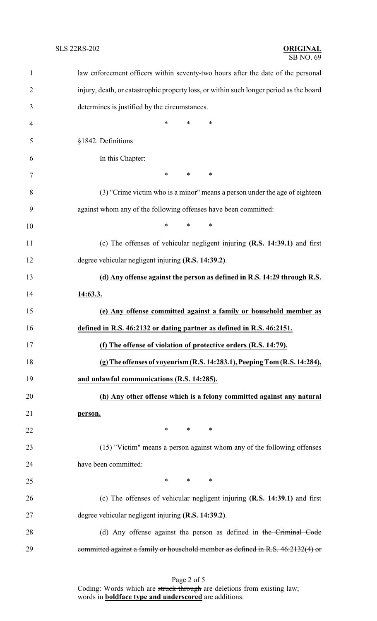| $\mathbf{1}$   | law enforcement officers within seventy-two hours after the date of the personal        |
|----------------|-----------------------------------------------------------------------------------------|
| $\overline{2}$ | injury, death, or catastrophic property loss, or within such longer period as the board |
| 3              | determines is justified by the circumstances.                                           |
| 4              | *<br>*<br>∗                                                                             |
| 5              | §1842. Definitions                                                                      |
| 6              | In this Chapter:                                                                        |
| 7              | $\ast$<br>$\ast$<br>∗                                                                   |
| 8              | (3) "Crime victim who is a minor" means a person under the age of eighteen              |
| 9              | against whom any of the following offenses have been committed:                         |
| 10             | $\ast$<br>$\ast$<br>∗                                                                   |
| 11             | (c) The offenses of vehicular negligent injuring $(R.S. 14:39.1)$ and first             |
| 12             | degree vehicular negligent injuring (R.S. 14:39.2).                                     |
| 13             | (d) Any offense against the person as defined in R.S. 14:29 through R.S.                |
| 14             | 14:63.3.                                                                                |
| 15             | (e) Any offense committed against a family or household member as                       |
| 16             | defined in R.S. 46:2132 or dating partner as defined in R.S. 46:2151.                   |
| 17             | (f) The offense of violation of protective orders (R.S. 14:79).                         |
| 18             | (g) The offenses of voyeurism (R.S. 14:283.1), Peeping Tom (R.S. 14:284),               |
| 19             | and unlawful communications (R.S. 14:285).                                              |
| 20             | (h) Any other offense which is a felony committed against any natural                   |
| 21             | person.                                                                                 |
| 22             | $*$ and $*$<br>$*$ and $*$<br>∗                                                         |
| 23             | (15) "Victim" means a person against whom any of the following offenses                 |
| 24             | have been committed:                                                                    |
| 25             | $*$ $*$<br>$*$<br>$\ast$                                                                |
| 26             | (c) The offenses of vehicular negligent injuring $(R.S. 14:39.1)$ and first             |
| 27             | degree vehicular negligent injuring (R.S. 14:39.2).                                     |
| 28             | (d) Any offense against the person as defined in the Criminal Code                      |
| 29             | committed against a family or household member as defined in R.S. 46:2132(4) or         |

Page 2 of 5 Coding: Words which are struck through are deletions from existing law; words in **boldface type and underscored** are additions.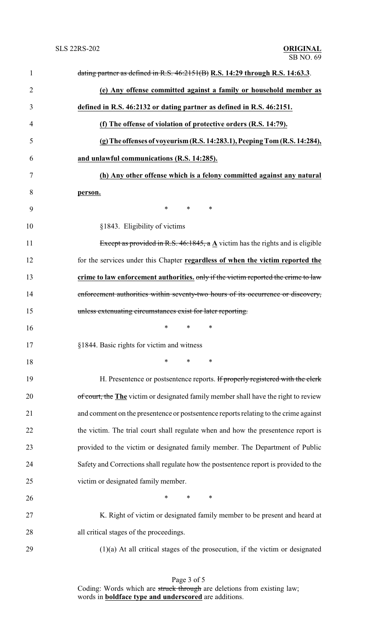| $\mathbf{1}$   | dating partner as defined in R.S. $46:2151(B)$ R.S. 14:29 through R.S. 14:63.3.             |
|----------------|---------------------------------------------------------------------------------------------|
| $\overline{2}$ | (e) Any offense committed against a family or household member as                           |
| 3              | defined in R.S. 46:2132 or dating partner as defined in R.S. 46:2151.                       |
| 4              | (f) The offense of violation of protective orders (R.S. 14:79).                             |
| 5              | (g) The offenses of voyeurism (R.S. 14:283.1), Peeping Tom (R.S. 14:284),                   |
| 6              | and unlawful communications (R.S. 14:285).                                                  |
| 7              | (h) Any other offense which is a felony committed against any natural                       |
| 8              | person.                                                                                     |
| 9              | $\ast$<br>$\ast$<br>∗                                                                       |
| 10             | §1843. Eligibility of victims                                                               |
| 11             | Except as provided in R.S. 46:1845, a $\underline{A}$ victim has the rights and is eligible |
| 12             | for the services under this Chapter regardless of when the victim reported the              |
| 13             | crime to law enforcement authorities, only if the victim reported the crime to law          |
| 14             | enforcement authorities within seventy-two hours of its occurrence or discovery,            |
| 15             | unless extenuating circumstances exist for later reporting.                                 |
| 16             | ∗<br>∗<br>∗                                                                                 |
| 17             | §1844. Basic rights for victim and witness                                                  |
| 18             | $*$ $*$<br>$*$ and $*$<br>$\ast$                                                            |
| 19             | H. Presentence or postsentence reports. If properly registered with the clerk               |
| 20             | of court, the The victim or designated family member shall have the right to review         |
| 21             | and comment on the presentence or postsentence reports relating to the crime against        |
| 22             | the victim. The trial court shall regulate when and how the presentence report is           |
| 23             | provided to the victim or designated family member. The Department of Public                |
| 24             | Safety and Corrections shall regulate how the postsentence report is provided to the        |
| 25             | victim or designated family member.                                                         |
| 26             | $\ast$<br>$\ast$<br>∗                                                                       |
| 27             | K. Right of victim or designated family member to be present and heard at                   |
| 28             | all critical stages of the proceedings.                                                     |
| 29             | $(1)(a)$ At all critical stages of the prosecution, if the victim or designated             |

Page 3 of 5 Coding: Words which are struck through are deletions from existing law; words in **boldface type and underscored** are additions.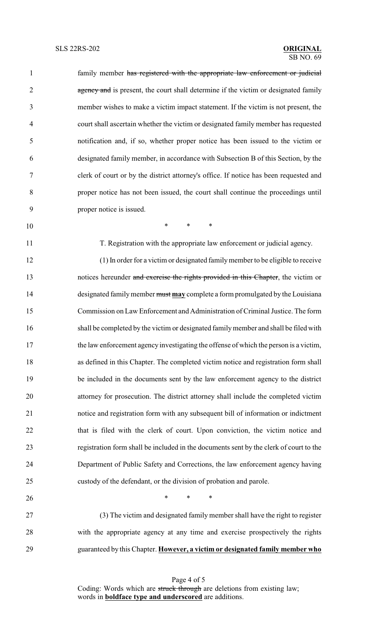| $\mathbf{1}$   | family member has registered with the appropriate law enforcement or judicial          |
|----------------|----------------------------------------------------------------------------------------|
| $\overline{2}$ | agency and is present, the court shall determine if the victim or designated family    |
| 3              | member wishes to make a victim impact statement. If the victim is not present, the     |
| $\overline{4}$ | court shall ascertain whether the victim or designated family member has requested     |
| 5              | notification and, if so, whether proper notice has been issued to the victim or        |
| 6              | designated family member, in accordance with Subsection B of this Section, by the      |
| $\overline{7}$ | clerk of court or by the district attorney's office. If notice has been requested and  |
| $8\,$          | proper notice has not been issued, the court shall continue the proceedings until      |
| 9              | proper notice is issued.                                                               |
| 10             | $*$ and $*$<br>$\ast$<br>$\ast$                                                        |
| 11             | T. Registration with the appropriate law enforcement or judicial agency.               |
| 12             | (1) In order for a victim or designated family member to be eligible to receive        |
| 13             | notices hereunder and exercise the rights provided in this Chapter, the victim or      |
| 14             | designated family member must may complete a form promulgated by the Louisiana         |
| 15             | Commission on Law Enforcement and Administration of Criminal Justice. The form         |
| 16             | shall be completed by the victim or designated family member and shall be filed with   |
| 17             | the law enforcement agency investigating the offense of which the person is a victim,  |
| 18             | as defined in this Chapter. The completed victim notice and registration form shall    |
| 19             | be included in the documents sent by the law enforcement agency to the district        |
| 20             | attorney for prosecution. The district attorney shall include the completed victim     |
| 21             | notice and registration form with any subsequent bill of information or indictment     |
| 22             | that is filed with the clerk of court. Upon conviction, the victim notice and          |
| 23             | registration form shall be included in the documents sent by the clerk of court to the |
| 24             | Department of Public Safety and Corrections, the law enforcement agency having         |
| 25             | custody of the defendant, or the division of probation and parole.                     |
| 26             | $\ast$<br>$\ast$<br>$\ast$                                                             |
| 27             | (3) The victim and designated family member shall have the right to register           |
| 28             | with the appropriate agency at any time and exercise prospectively the rights          |
|                |                                                                                        |

guaranteed by this Chapter. **However, a victim or designated family member who**

Page 4 of 5 Coding: Words which are struck through are deletions from existing law; words in **boldface type and underscored** are additions.